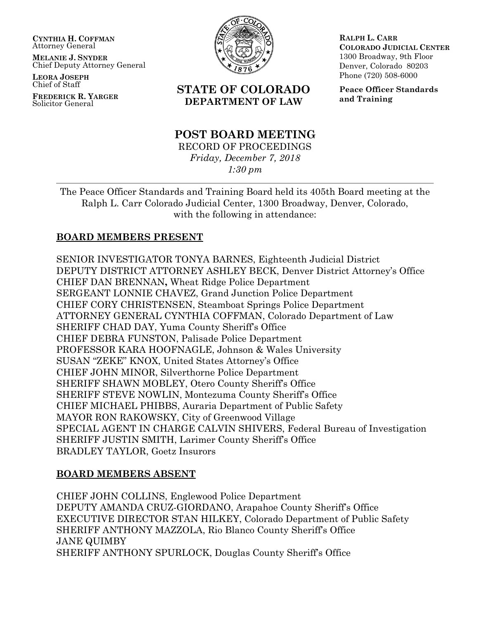**CYNTHIA H. COFFMAN** Attorney General

**MELANIE J. SNYDER** Chief Deputy Attorney General

**LEORA JOSEPH** Chief of Staff

**FREDERICK R. YARGER** Solicitor General



# **STATE OF COLORADO DEPARTMENT OF LAW**

# **POST BOARD MEETING**

RECORD OF PROCEEDINGS *Friday, December 7, 2018 1:30 pm*

**RALPH L. CARR COLORADO JUDICIAL CENTER** 1300 Broadway, 9th Floor Denver, Colorado 80203 Phone (720) 508-6000

**Peace Officer Standards and Training**

The Peace Officer Standards and Training Board held its 405th Board meeting at the Ralph L. Carr Colorado Judicial Center, 1300 Broadway, Denver, Colorado, with the following in attendance:

### **BOARD MEMBERS PRESENT**

SENIOR INVESTIGATOR TONYA BARNES, Eighteenth Judicial District DEPUTY DISTRICT ATTORNEY ASHLEY BECK, Denver District Attorney's Office CHIEF DAN BRENNAN**,** Wheat Ridge Police Department SERGEANT LONNIE CHAVEZ, Grand Junction Police Department CHIEF CORY CHRISTENSEN, Steamboat Springs Police Department ATTORNEY GENERAL CYNTHIA COFFMAN, Colorado Department of Law SHERIFF CHAD DAY, Yuma County Sheriff's Office CHIEF DEBRA FUNSTON, Palisade Police Department PROFESSOR KARA HOOFNAGLE, Johnson & Wales University SUSAN "ZEKE" KNOX, United States Attorney's Office CHIEF JOHN MINOR, Silverthorne Police Department SHERIFF SHAWN MOBLEY, Otero County Sheriff's Office SHERIFF STEVE NOWLIN, Montezuma County Sheriff's Office CHIEF MICHAEL PHIBBS, Auraria Department of Public Safety MAYOR RON RAKOWSKY, City of Greenwood Village SPECIAL AGENT IN CHARGE CALVIN SHIVERS, Federal Bureau of Investigation SHERIFF JUSTIN SMITH, Larimer County Sheriff's Office BRADLEY TAYLOR, Goetz Insurors

# **BOARD MEMBERS ABSENT**

CHIEF JOHN COLLINS, Englewood Police Department DEPUTY AMANDA CRUZ-GIORDANO, Arapahoe County Sheriff's Office EXECUTIVE DIRECTOR STAN HILKEY, Colorado Department of Public Safety SHERIFF ANTHONY MAZZOLA, Rio Blanco County Sheriff's Office JANE QUIMBY SHERIFF ANTHONY SPURLOCK, Douglas County Sheriff's Office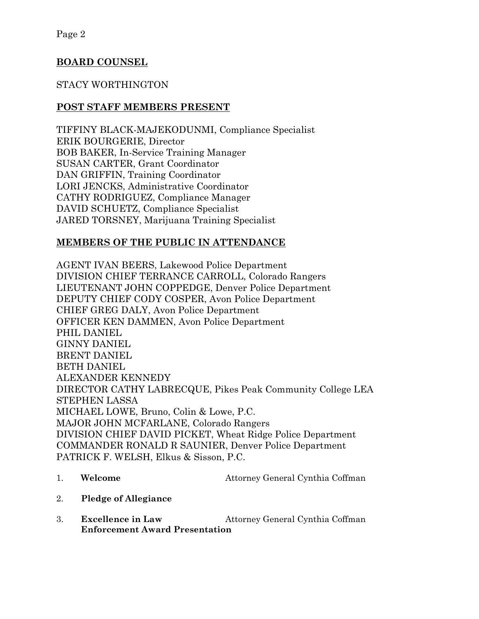# **BOARD COUNSEL**

# STACY WORTHINGTON

### **POST STAFF MEMBERS PRESENT**

TIFFINY BLACK-MAJEKODUNMI, Compliance Specialist ERIK BOURGERIE, Director BOB BAKER, In-Service Training Manager SUSAN CARTER, Grant Coordinator DAN GRIFFIN, Training Coordinator LORI JENCKS, Administrative Coordinator CATHY RODRIGUEZ, Compliance Manager DAVID SCHUETZ, Compliance Specialist JARED TORSNEY, Marijuana Training Specialist

# **MEMBERS OF THE PUBLIC IN ATTENDANCE**

AGENT IVAN BEERS, Lakewood Police Department DIVISION CHIEF TERRANCE CARROLL, Colorado Rangers LIEUTENANT JOHN COPPEDGE, Denver Police Department DEPUTY CHIEF CODY COSPER, Avon Police Department CHIEF GREG DALY, Avon Police Department OFFICER KEN DAMMEN, Avon Police Department PHIL DANIEL GINNY DANIEL BRENT DANIEL BETH DANIEL ALEXANDER KENNEDY DIRECTOR CATHY LABRECQUE, Pikes Peak Community College LEA STEPHEN LASSA MICHAEL LOWE, Bruno, Colin & Lowe, P.C. MAJOR JOHN MCFARLANE, Colorado Rangers DIVISION CHIEF DAVID PICKET, Wheat Ridge Police Department COMMANDER RONALD R SAUNIER, Denver Police Department PATRICK F. WELSH, Elkus & Sisson, P.C.

# 1. **Welcome** Attorney General Cynthia Coffman

- 2. **Pledge of Allegiance**
- 3. **Excellence in Law** Attorney General Cynthia Coffman **Enforcement Award Presentation**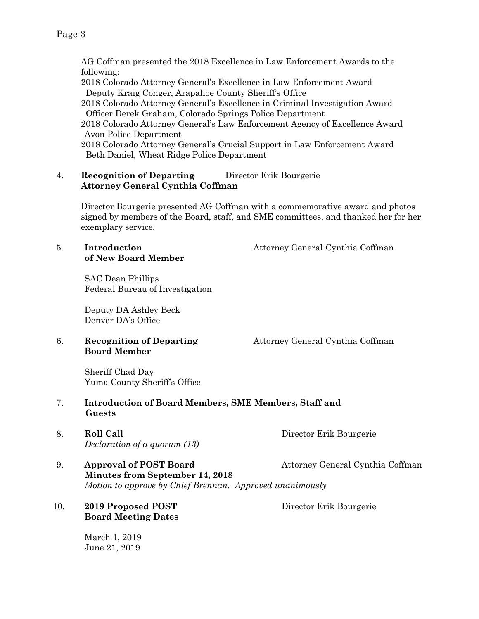AG Coffman presented the 2018 Excellence in Law Enforcement Awards to the following: 2018 Colorado Attorney General's Excellence in Law Enforcement Award Deputy Kraig Conger, Arapahoe County Sheriff's Office 2018 Colorado Attorney General's Excellence in Criminal Investigation Award Officer Derek Graham, Colorado Springs Police Department 2018 Colorado Attorney General's Law Enforcement Agency of Excellence Award Avon Police Department 2018 Colorado Attorney General's Crucial Support in Law Enforcement Award Beth Daniel, Wheat Ridge Police Department

#### 4. **Recognition of Departing** Director Erik Bourgerie **Attorney General Cynthia Coffman**

Director Bourgerie presented AG Coffman with a commemorative award and photos signed by members of the Board, staff, and SME committees, and thanked her for her exemplary service.

# **of New Board Member**

5. **Introduction** Attorney General Cynthia Coffman

SAC Dean Phillips Federal Bureau of Investigation

Deputy DA Ashley Beck Denver DA's Office

# **Board Member**

6. **Recognition of Departing** Attorney General Cynthia Coffman

Sheriff Chad Day Yuma County Sheriff's Office

- 7. **Introduction of Board Members, SME Members, Staff and Guests**
- 8. **Roll Call Director Erik Bourgerie** *Declaration of a quorum (13)*
	-
- 9. **Approval of POST Board** Attorney General Cynthia Coffman  **Minutes from September 14, 2018** *Motion to approve by Chief Brennan. Approved unanimously*

#### 10. **2019 Proposed POST** Director Erik Bourgerie **Board Meeting Dates**

March 1, 2019 June 21, 2019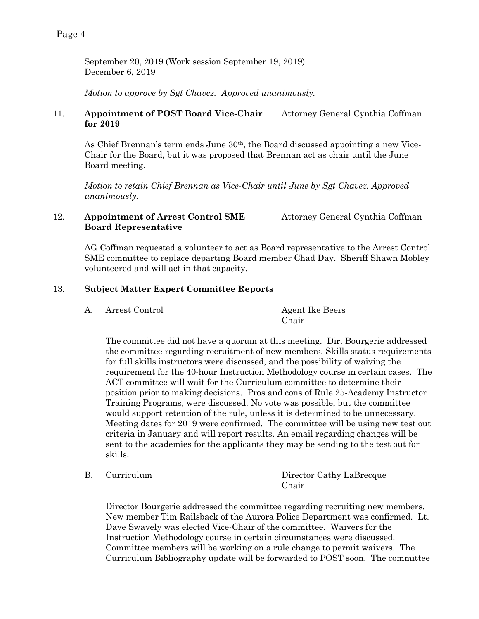September 20, 2019 (Work session September 19, 2019) December 6, 2019

*Motion to approve by Sgt Chavez. Approved unanimously.*

#### 11. **Appointment of POST Board Vice-Chair** Attorney General Cynthia Coffman **for 2019**

As Chief Brennan's term ends June 30th, the Board discussed appointing a new Vice-Chair for the Board, but it was proposed that Brennan act as chair until the June Board meeting.

*Motion to retain Chief Brennan as Vice-Chair until June by Sgt Chavez. Approved unanimously.*

#### 12. **Appointment of Arrest Control SME** Attorney General Cynthia Coffman **Board Representative**

AG Coffman requested a volunteer to act as Board representative to the Arrest Control SME committee to replace departing Board member Chad Day. Sheriff Shawn Mobley volunteered and will act in that capacity.

#### 13. **Subject Matter Expert Committee Reports**

| А. | Arrest Control | <b>Agent Ike Beers</b> |
|----|----------------|------------------------|
|    |                | Chair                  |

The committee did not have a quorum at this meeting. Dir. Bourgerie addressed the committee regarding recruitment of new members. Skills status requirements for full skills instructors were discussed, and the possibility of waiving the requirement for the 40-hour Instruction Methodology course in certain cases. The ACT committee will wait for the Curriculum committee to determine their position prior to making decisions. Pros and cons of Rule 25-Academy Instructor Training Programs, were discussed. No vote was possible, but the committee would support retention of the rule, unless it is determined to be unnecessary. Meeting dates for 2019 were confirmed. The committee will be using new test out criteria in January and will report results. An email regarding changes will be sent to the academies for the applicants they may be sending to the test out for skills.

B. Curriculum Director Cathy LaBrecque Chair

Director Bourgerie addressed the committee regarding recruiting new members. New member Tim Railsback of the Aurora Police Department was confirmed. Lt. Dave Swavely was elected Vice-Chair of the committee. Waivers for the Instruction Methodology course in certain circumstances were discussed. Committee members will be working on a rule change to permit waivers. The Curriculum Bibliography update will be forwarded to POST soon. The committee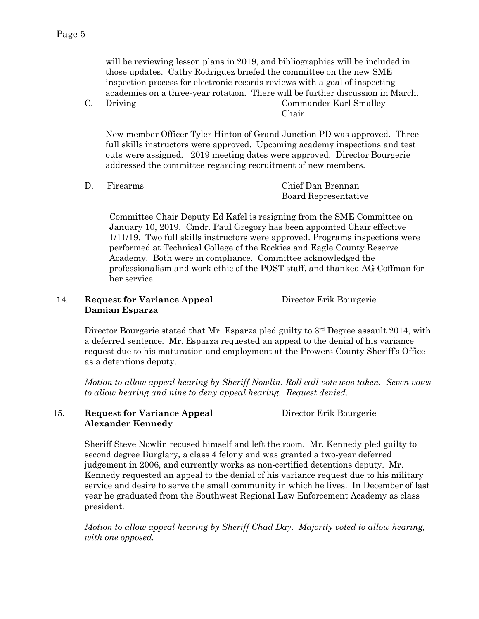will be reviewing lesson plans in 2019, and bibliographies will be included in those updates. Cathy Rodriguez briefed the committee on the new SME inspection process for electronic records reviews with a goal of inspecting academies on a three-year rotation. There will be further discussion in March.

C. Driving Commander Karl Smalley Chair

New member Officer Tyler Hinton of Grand Junction PD was approved. Three full skills instructors were approved. Upcoming academy inspections and test outs were assigned. 2019 meeting dates were approved. Director Bourgerie addressed the committee regarding recruitment of new members.

| Firearms | Chief Dan Brennan    |
|----------|----------------------|
|          | Board Representative |

Committee Chair Deputy Ed Kafel is resigning from the SME Committee on January 10, 2019. Cmdr. Paul Gregory has been appointed Chair effective 1/11/19. Two full skills instructors were approved. Programs inspections were performed at Technical College of the Rockies and Eagle County Reserve Academy. Both were in compliance. Committee acknowledged the professionalism and work ethic of the POST staff, and thanked AG Coffman for her service.

#### 14. **Request for Variance Appeal** Director Erik Bourgerie **Damian Esparza**

Director Bourgerie stated that Mr. Esparza pled guilty to 3<sup>rd</sup> Degree assault 2014, with a deferred sentence. Mr. Esparza requested an appeal to the denial of his variance request due to his maturation and employment at the Prowers County Sheriff's Office as a detentions deputy.

*Motion to allow appeal hearing by Sheriff Nowlin*. *Roll call vote was taken. Seven votes to allow hearing and nine to deny appeal hearing. Request denied.* 

#### 15. **Request for Variance Appeal** Director Erik Bourgerie **Alexander Kennedy**

Sheriff Steve Nowlin recused himself and left the room. Mr. Kennedy pled guilty to second degree Burglary, a class 4 felony and was granted a two-year deferred judgement in 2006, and currently works as non-certified detentions deputy. Mr. Kennedy requested an appeal to the denial of his variance request due to his military service and desire to serve the small community in which he lives. In December of last year he graduated from the Southwest Regional Law Enforcement Academy as class president.

*Motion to allow appeal hearing by Sheriff Chad Day. Majority voted to allow hearing, with one opposed.*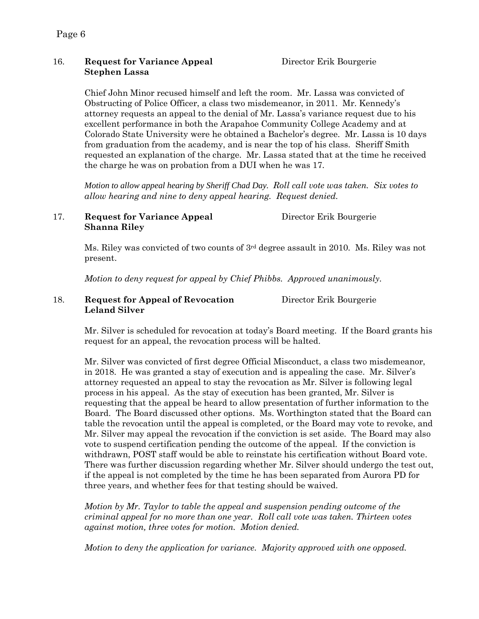#### 16. **Request for Variance Appeal** Director Erik Bourgerie **Stephen Lassa**

Chief John Minor recused himself and left the room. Mr. Lassa was convicted of Obstructing of Police Officer, a class two misdemeanor, in 2011. Mr. Kennedy's attorney requests an appeal to the denial of Mr. Lassa's variance request due to his excellent performance in both the Arapahoe Community College Academy and at Colorado State University were he obtained a Bachelor's degree. Mr. Lassa is 10 days from graduation from the academy, and is near the top of his class. Sheriff Smith requested an explanation of the charge. Mr. Lassa stated that at the time he received the charge he was on probation from a DUI when he was 17.

*Motion to allow appeal hearing by Sheriff Chad Day. Roll call vote was taken. Six votes to allow hearing and nine to deny appeal hearing. Request denied.* 

#### 17. **Request for Variance Appeal** Director Erik Bourgerie **Shanna Riley**

Ms. Riley was convicted of two counts of 3rd degree assault in 2010. Ms. Riley was not present.

*Motion to deny request for appeal by Chief Phibbs. Approved unanimously.*

#### 18. **Request for Appeal of Revocation** Director Erik Bourgerie **Leland Silver**

Mr. Silver is scheduled for revocation at today's Board meeting. If the Board grants his request for an appeal, the revocation process will be halted.

Mr. Silver was convicted of first degree Official Misconduct, a class two misdemeanor, in 2018. He was granted a stay of execution and is appealing the case. Mr. Silver's attorney requested an appeal to stay the revocation as Mr. Silver is following legal process in his appeal. As the stay of execution has been granted, Mr. Silver is requesting that the appeal be heard to allow presentation of further information to the Board. The Board discussed other options. Ms. Worthington stated that the Board can table the revocation until the appeal is completed, or the Board may vote to revoke, and Mr. Silver may appeal the revocation if the conviction is set aside. The Board may also vote to suspend certification pending the outcome of the appeal. If the conviction is withdrawn, POST staff would be able to reinstate his certification without Board vote. There was further discussion regarding whether Mr. Silver should undergo the test out, if the appeal is not completed by the time he has been separated from Aurora PD for three years, and whether fees for that testing should be waived.

*Motion by Mr. Taylor to table the appeal and suspension pending outcome of the criminal appeal for no more than one year. Roll call vote was taken. Thirteen votes against motion, three votes for motion. Motion denied.*

*Motion to deny the application for variance. Majority approved with one opposed.*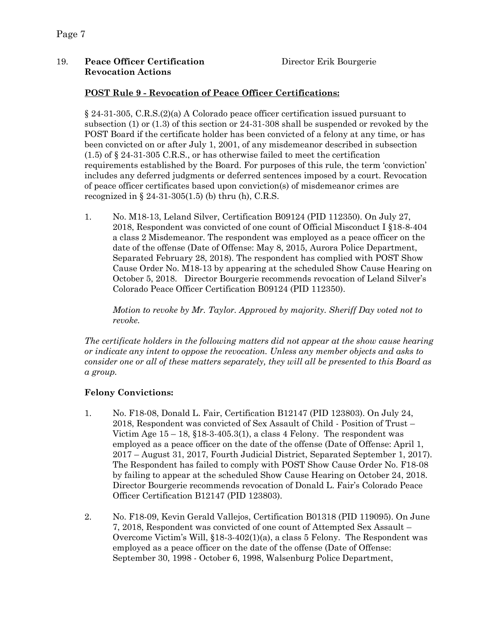#### 19. **Peace Officer Certification** Director Erik Bourgerie **Revocation Actions**

#### **POST Rule 9 - Revocation of Peace Officer Certifications:**

§ 24-31-305, C.R.S.(2)(a) A Colorado peace officer certification issued pursuant to subsection (1) or (1.3) of this section or 24-31-308 shall be suspended or revoked by the POST Board if the certificate holder has been convicted of a felony at any time, or has been convicted on or after July 1, 2001, of any misdemeanor described in subsection (1.5) of § 24-31-305 C.R.S., or has otherwise failed to meet the certification requirements established by the Board. For purposes of this rule, the term 'conviction' includes any deferred judgments or deferred sentences imposed by a court. Revocation of peace officer certificates based upon conviction(s) of misdemeanor crimes are recognized in  $\S 24-31-305(1.5)$  (b) thru (h), C.R.S.

1. No. M18-13, Leland Silver, Certification B09124 (PID 112350). On July 27, 2018, Respondent was convicted of one count of Official Misconduct I §18-8-404 a class 2 Misdemeanor. The respondent was employed as a peace officer on the date of the offense (Date of Offense: May 8, 2015, Aurora Police Department, Separated February 28, 2018). The respondent has complied with POST Show Cause Order No. M18-13 by appearing at the scheduled Show Cause Hearing on October 5, 2018. Director Bourgerie recommends revocation of Leland Silver's Colorado Peace Officer Certification B09124 (PID 112350).

*Motion to revoke by Mr. Taylor. Approved by majority. Sheriff Day voted not to revoke.* 

*The certificate holders in the following matters did not appear at the show cause hearing or indicate any intent to oppose the revocation. Unless any member objects and asks to consider one or all of these matters separately, they will all be presented to this Board as a group.*

#### **Felony Convictions:**

- 1. No. F18-08, Donald L. Fair, Certification B12147 (PID 123803). On July 24, 2018, Respondent was convicted of Sex Assault of Child - Position of Trust – Victim Age  $15 - 18$ ,  $$18-3-405.3(1)$ , a class 4 Felony. The respondent was employed as a peace officer on the date of the offense (Date of Offense: April 1, 2017 – August 31, 2017, Fourth Judicial District, Separated September 1, 2017). The Respondent has failed to comply with POST Show Cause Order No. F18-08 by failing to appear at the scheduled Show Cause Hearing on October 24, 2018. Director Bourgerie recommends revocation of Donald L. Fair's Colorado Peace Officer Certification B12147 (PID 123803).
- 2. No. F18-09, Kevin Gerald Vallejos, Certification B01318 (PID 119095). On June 7, 2018, Respondent was convicted of one count of Attempted Sex Assault – Overcome Victim's Will, §18-3-402(1)(a), a class 5 Felony. The Respondent was employed as a peace officer on the date of the offense (Date of Offense: September 30, 1998 - October 6, 1998, Walsenburg Police Department,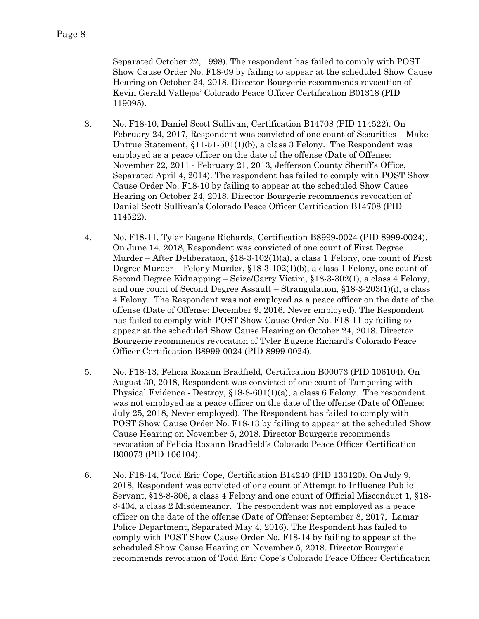Separated October 22, 1998). The respondent has failed to comply with POST Show Cause Order No. F18-09 by failing to appear at the scheduled Show Cause Hearing on October 24, 2018. Director Bourgerie recommends revocation of Kevin Gerald Vallejos' Colorado Peace Officer Certification B01318 (PID 119095).

- 3. No. F18-10, Daniel Scott Sullivan, Certification B14708 (PID 114522). On February 24, 2017, Respondent was convicted of one count of Securities – Make Untrue Statement, §11-51-501(1)(b), a class 3 Felony. The Respondent was employed as a peace officer on the date of the offense (Date of Offense: November 22, 2011 - February 21, 2013, Jefferson County Sheriff's Office, Separated April 4, 2014). The respondent has failed to comply with POST Show Cause Order No. F18-10 by failing to appear at the scheduled Show Cause Hearing on October 24, 2018. Director Bourgerie recommends revocation of Daniel Scott Sullivan's Colorado Peace Officer Certification B14708 (PID 114522).
- 4. No. F18-11, Tyler Eugene Richards, Certification B8999-0024 (PID 8999-0024). On June 14. 2018, Respondent was convicted of one count of First Degree Murder – After Deliberation, §18-3-102(1)(a), a class 1 Felony, one count of First Degree Murder – Felony Murder, §18-3-102(1)(b), a class 1 Felony, one count of Second Degree Kidnapping – Seize/Carry Victim, §18-3-302(1), a class 4 Felony, and one count of Second Degree Assault – Strangulation, §18-3-203(1)(i), a class 4 Felony. The Respondent was not employed as a peace officer on the date of the offense (Date of Offense: December 9, 2016, Never employed). The Respondent has failed to comply with POST Show Cause Order No. F18-11 by failing to appear at the scheduled Show Cause Hearing on October 24, 2018. Director Bourgerie recommends revocation of Tyler Eugene Richard's Colorado Peace Officer Certification B8999-0024 (PID 8999-0024).
- 5. No. F18-13, Felicia Roxann Bradfield, Certification B00073 (PID 106104). On August 30, 2018, Respondent was convicted of one count of Tampering with Physical Evidence - Destroy,  $$18-8-601(1)(a)$ , a class 6 Felony. The respondent was not employed as a peace officer on the date of the offense (Date of Offense: July 25, 2018, Never employed). The Respondent has failed to comply with POST Show Cause Order No. F18-13 by failing to appear at the scheduled Show Cause Hearing on November 5, 2018. Director Bourgerie recommends revocation of Felicia Roxann Bradfield's Colorado Peace Officer Certification B00073 (PID 106104).
- 6. No. F18-14, Todd Eric Cope, Certification B14240 (PID 133120). On July 9, 2018, Respondent was convicted of one count of Attempt to Influence Public Servant, §18-8-306, a class 4 Felony and one count of Official Misconduct 1, §18- 8-404, a class 2 Misdemeanor. The respondent was not employed as a peace officer on the date of the offense (Date of Offense: September 8, 2017, Lamar Police Department, Separated May 4, 2016). The Respondent has failed to comply with POST Show Cause Order No. F18-14 by failing to appear at the scheduled Show Cause Hearing on November 5, 2018. Director Bourgerie recommends revocation of Todd Eric Cope's Colorado Peace Officer Certification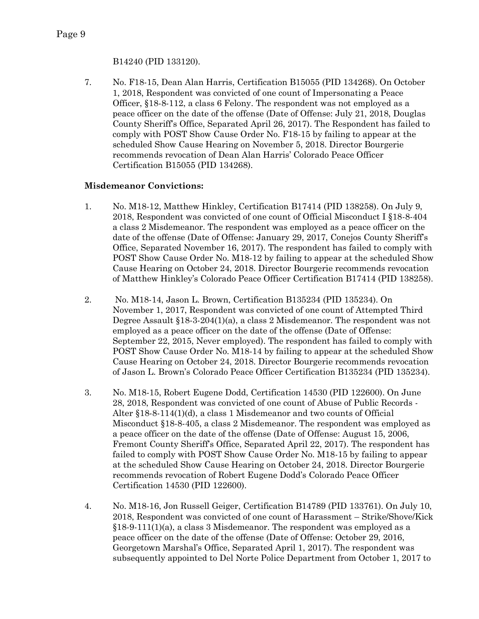7. No. F18-15, Dean Alan Harris, Certification B15055 (PID 134268). On October 1, 2018, Respondent was convicted of one count of Impersonating a Peace Officer, §18-8-112, a class 6 Felony. The respondent was not employed as a peace officer on the date of the offense (Date of Offense: July 21, 2018, Douglas County Sheriff's Office, Separated April 26, 2017). The Respondent has failed to comply with POST Show Cause Order No. F18-15 by failing to appear at the scheduled Show Cause Hearing on November 5, 2018. Director Bourgerie recommends revocation of Dean Alan Harris' Colorado Peace Officer Certification B15055 (PID 134268).

#### **Misdemeanor Convictions:**

- 1. No. M18-12, Matthew Hinkley, Certification B17414 (PID 138258). On July 9, 2018, Respondent was convicted of one count of Official Misconduct I §18-8-404 a class 2 Misdemeanor. The respondent was employed as a peace officer on the date of the offense (Date of Offense: January 29, 2017, Conejos County Sheriff's Office, Separated November 16, 2017). The respondent has failed to comply with POST Show Cause Order No. M18-12 by failing to appear at the scheduled Show Cause Hearing on October 24, 2018. Director Bourgerie recommends revocation of Matthew Hinkley's Colorado Peace Officer Certification B17414 (PID 138258).
- 2. No. M18-14, Jason L. Brown, Certification B135234 (PID 135234). On November 1, 2017, Respondent was convicted of one count of Attempted Third Degree Assault §18-3-204(1)(a), a class 2 Misdemeanor. The respondent was not employed as a peace officer on the date of the offense (Date of Offense: September 22, 2015, Never employed). The respondent has failed to comply with POST Show Cause Order No. M18-14 by failing to appear at the scheduled Show Cause Hearing on October 24, 2018. Director Bourgerie recommends revocation of Jason L. Brown's Colorado Peace Officer Certification B135234 (PID 135234).
- 3. No. M18-15, Robert Eugene Dodd, Certification 14530 (PID 122600). On June 28, 2018, Respondent was convicted of one count of Abuse of Public Records - Alter §18-8-114(1)(d), a class 1 Misdemeanor and two counts of Official Misconduct §18-8-405, a class 2 Misdemeanor. The respondent was employed as a peace officer on the date of the offense (Date of Offense: August 15, 2006, Fremont County Sheriff's Office, Separated April 22, 2017). The respondent has failed to comply with POST Show Cause Order No. M18-15 by failing to appear at the scheduled Show Cause Hearing on October 24, 2018. Director Bourgerie recommends revocation of Robert Eugene Dodd's Colorado Peace Officer Certification 14530 (PID 122600).
- 4. No. M18-16, Jon Russell Geiger, Certification B14789 (PID 133761). On July 10, 2018, Respondent was convicted of one count of Harassment – Strike/Shove/Kick  $§18-9-111(1)(a)$ , a class 3 Misdemeanor. The respondent was employed as a peace officer on the date of the offense (Date of Offense: October 29, 2016, Georgetown Marshal's Office, Separated April 1, 2017). The respondent was subsequently appointed to Del Norte Police Department from October 1, 2017 to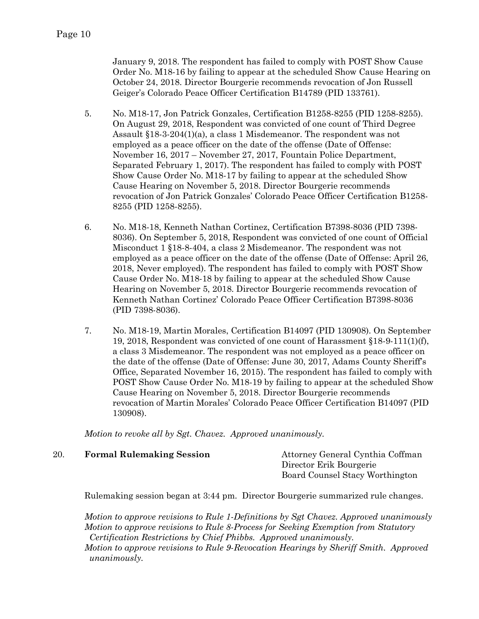January 9, 2018. The respondent has failed to comply with POST Show Cause Order No. M18-16 by failing to appear at the scheduled Show Cause Hearing on October 24, 2018. Director Bourgerie recommends revocation of Jon Russell Geiger's Colorado Peace Officer Certification B14789 (PID 133761).

- 5. No. M18-17, Jon Patrick Gonzales, Certification B1258-8255 (PID 1258-8255). On August 29, 2018, Respondent was convicted of one count of Third Degree Assault §18-3-204(1)(a), a class 1 Misdemeanor. The respondent was not employed as a peace officer on the date of the offense (Date of Offense: November 16, 2017 – November 27, 2017, Fountain Police Department, Separated February 1, 2017). The respondent has failed to comply with POST Show Cause Order No. M18-17 by failing to appear at the scheduled Show Cause Hearing on November 5, 2018. Director Bourgerie recommends revocation of Jon Patrick Gonzales' Colorado Peace Officer Certification B1258- 8255 (PID 1258-8255).
- 6. No. M18-18, Kenneth Nathan Cortinez, Certification B7398-8036 (PID 7398- 8036). On September 5, 2018, Respondent was convicted of one count of Official Misconduct 1 §18-8-404, a class 2 Misdemeanor. The respondent was not employed as a peace officer on the date of the offense (Date of Offense: April 26, 2018, Never employed). The respondent has failed to comply with POST Show Cause Order No. M18-18 by failing to appear at the scheduled Show Cause Hearing on November 5, 2018. Director Bourgerie recommends revocation of Kenneth Nathan Cortinez' Colorado Peace Officer Certification B7398-8036 (PID 7398-8036).
- 7. No. M18-19, Martin Morales, Certification B14097 (PID 130908). On September 19, 2018, Respondent was convicted of one count of Harassment §18-9-111(1)(f), a class 3 Misdemeanor. The respondent was not employed as a peace officer on the date of the offense (Date of Offense: June 30, 2017, Adams County Sheriff's Office, Separated November 16, 2015). The respondent has failed to comply with POST Show Cause Order No. M18-19 by failing to appear at the scheduled Show Cause Hearing on November 5, 2018. Director Bourgerie recommends revocation of Martin Morales' Colorado Peace Officer Certification B14097 (PID 130908).

*Motion to revoke all by Sgt. Chavez. Approved unanimously.* 

| 20. | <b>Formal Rulemaking Session</b> | Attorney General Cynthia Coffman |
|-----|----------------------------------|----------------------------------|
|     |                                  | Director Erik Bourgerie          |
|     |                                  | Board Counsel Stacy Worthington  |

Rulemaking session began at 3:44 pm. Director Bourgerie summarized rule changes.

*Motion to approve revisions to Rule 1-Definitions by Sgt Chavez. Approved unanimously Motion to approve revisions to Rule 8-Process for Seeking Exemption from Statutory Certification Restrictions by Chief Phibbs. Approved unanimously.*

*Motion to approve revisions to Rule 9-Revocation Hearings by Sheriff Smith. Approved unanimously.*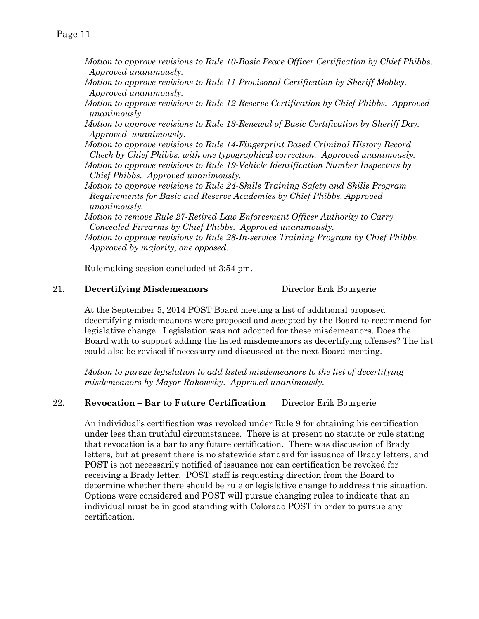Page 11

- *Motion to approve revisions to Rule 10-Basic Peace Officer Certification by Chief Phibbs. Approved unanimously.*
- *Motion to approve revisions to Rule 11-Provisonal Certification by Sheriff Mobley. Approved unanimously.*
- *Motion to approve revisions to Rule 12-Reserve Certification by Chief Phibbs. Approved unanimously.*
- *Motion to approve revisions to Rule 13-Renewal of Basic Certification by Sheriff Day. Approved unanimously.*
- *Motion to approve revisions to Rule 14-Fingerprint Based Criminal History Record Check by Chief Phibbs, with one typographical correction. Approved unanimously.*
- *Motion to approve revisions to Rule 19-Vehicle Identification Number Inspectors by Chief Phibbs. Approved unanimously.*
- *Motion to approve revisions to Rule 24-Skills Training Safety and Skills Program Requirements for Basic and Reserve Academies by Chief Phibbs. Approved unanimously.*

*Motion to remove Rule 27-Retired Law Enforcement Officer Authority to Carry Concealed Firearms by Chief Phibbs. Approved unanimously. Motion to approve revisions to Rule 28-In-service Training Program by Chief Phibbs. Approved by majority, one opposed.*

Rulemaking session concluded at 3:54 pm.

#### 21. **Decertifying Misdemeanors** Director Erik Bourgerie

At the September 5, 2014 POST Board meeting a list of additional proposed decertifying misdemeanors were proposed and accepted by the Board to recommend for legislative change. Legislation was not adopted for these misdemeanors. Does the Board with to support adding the listed misdemeanors as decertifying offenses? The list could also be revised if necessary and discussed at the next Board meeting.

*Motion to pursue legislation to add listed misdemeanors to the list of decertifying misdemeanors by Mayor Rakowsky. Approved unanimously.*

#### 22. **Revocation – Bar to Future Certification** Director Erik Bourgerie

An individual's certification was revoked under Rule 9 for obtaining his certification under less than truthful circumstances. There is at present no statute or rule stating that revocation is a bar to any future certification. There was discussion of Brady letters, but at present there is no statewide standard for issuance of Brady letters, and POST is not necessarily notified of issuance nor can certification be revoked for receiving a Brady letter. POST staff is requesting direction from the Board to determine whether there should be rule or legislative change to address this situation. Options were considered and POST will pursue changing rules to indicate that an individual must be in good standing with Colorado POST in order to pursue any certification.